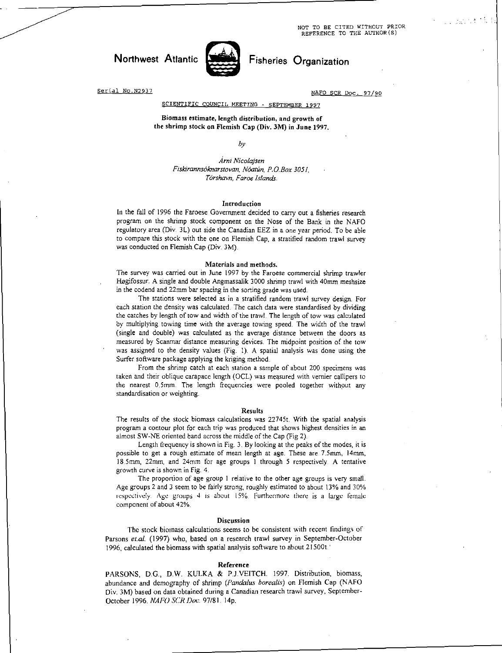NOT TO BE CITED WITHOUT PRIOR REFERENCE TO THE AUTHOR(S)

 $1.22 - 1$ 



Northwest Atlantic Fisheries Organization

Serial No. N2937 NAFO SCR Doc. 97/90

SCIENTIFIC COUNCIL MEETING - SEPTEMBER 1997

**Biomass estimate, length distribution, and growth of the shrimp stock on Flemish Cap (Div. 3M) in June 1997.** 

*by* 

*Arm Nicolajsen Fiskirannseknarstayan, Nowt, P.O.Box 3051, Torshavn, Faroe Islands.* 

# **Introduction**

In the fall of 1996 the Faroese Government decided to carry out a fisheries research program on the shrimp stock component on the Nose of the Bank in the NAFO regulatory area (Div. 3L) out side the Canadian EEZ in a one year period. To be able to compare this stock with the one on Flemish Cap, a stratified random trawl survey was conducted on Flemish Cap (Div. 3M).

#### **Materials and methods.**

The survey was carried out in June 1997 by the Faroese commercial shrimp trawler Hegifossur. A single and double Angmassalik 3000 shrimp trawl with 40mm meshsize in the codend and 22mm bar spacing in the sorting grade was used.

The stations were selected as in a stratified random trawl survey design. For each station the density was calculated. The catch data were standardised by dividing the catches by length of tow and width of the trawl. The length of tow was calculated by multiplying towing time with the average towing speed. **The** width of the trawl (single and double) was calculated as the average distance between the doors as measured by Scanmar distance measuring devices. The midpoint position of the tow was assigned to the density values (Fig. 1). A spatial analysis was done using the Surfer software package applying the kriging method.

From the shrimp catch at each station a sample of about 200 specimens was taken and their oblique carapace length (OCL) was measured with vernier callipers to the nearest 0.5mm. The length frequencies were pooled together without any standardisation or weighting.

## **Results**

The results of the stock biomass calculations was 22745t. With the spatial analysis program a contour plot for each trip was produced that shows highest densities in an almost SW-NE oriented band across the middle of the Cap (Fig 2).

Length frequency is shown in Fig. 3. By looking at the peaks of the modes, it is possible to get a rough estimate of mean length at age. These are 7.5mm, 14mm, 18.5mm, 22mm, and 24mm for age groups 1 through 5 respectively. A tentative growth curve is shown in Fig. 4.

The proportion of age group I relative to the other age groups is very small. Age groups 2 and 3 seem to be fairly strong, roughly estimated to about 13% and 30% <sup>r</sup>espectively. Age groups **4** is about 15%. Furthermore there is a large female component of about 42%.

#### Discussion

The stock biomass calculations seems to he consistent with recent findings of Parsons *etal.* **(1997) who, based on a research trawl survey** in September-October 1996, calculated the biomass with spatial analysis software to about 21500t '

### Reference

**PARSONS, D.G., D.W. KULKA & P.J.VEITCH. 1997. Distribution,** biomass, abundance and demography of shrimp *(Pandalus borealis)* on Flemish Cap (NAFO Div. 3M) based on data obtained during a Canadian research trawl survey, September-October 1996. *NATO SCR Doc.* **97/81. 14p.**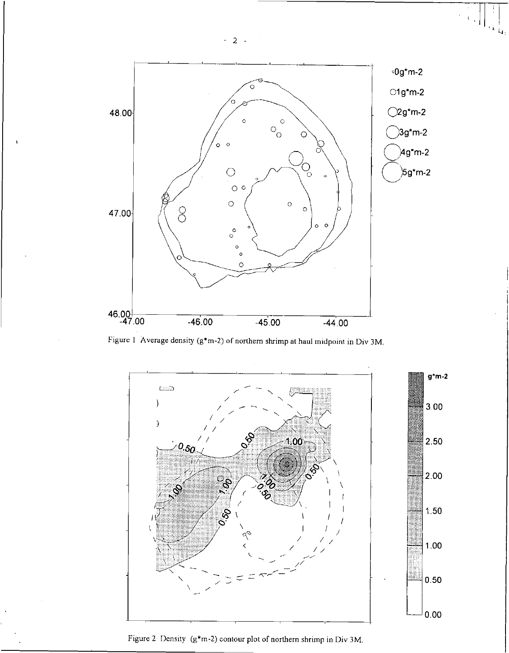- 2 -



Figure 1 Average density (g\*m-2) of northern shrimp at haul midpoint in Div 3M.



Figure 2 Density (g\*m-2) contour plot of northern shrimp in Div 3M.